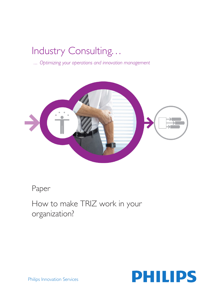# Industry Consulting. . .

 *... Optimizing your operations and innovation management* 



Paper

How to make TRIZ work in your organization?



Philips Innovation Services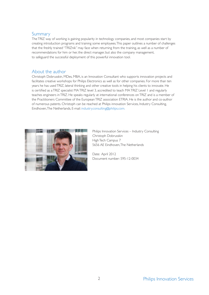#### Summary

The TRIZ way of working is gaining popularity in technology companies, and most companies start by creating introduction programs and training some employees. This paper outlines a number of challenges that the freshly trained "TRIZnik" may face when returning from the training, as well as a number of recommendations for him or her, the direct manager, but also the company management, to safeguard the successful deployment of this powerful innovation tool.

## About the author

Christoph Dobrusskin, MDes, MBA, is an Innovation Consultant who supports innovation projects and facilitates creative workshops for Philips Electronics as well as for other companies. For more than ten years he has used TRIZ, lateral thinking and other creative tools in helping his clients to innovate. He is certified as a TRIZ specialist MA TRIZ level 3, accredited to teach MA TRIZ Level 1 and regularly teaches engineers in TRIZ. He speaks regularly at international conferences on TRIZ and is a member of the Practitioners Committee of the European TRIZ association ETRIA. He is the author and co-author of numerous patents. Christoph can be reached at Philips innovation Services, Industry Consulting, Eindhoven, The Netherlands, E-mail: industry.consulting@philips.com.



Philips Innovation Services – Industry Consulting Christoph Dobrusskin High Tech Campus 7 5656 AE Eindhoven, The Netherlands

Date: April 2012 Document number: 595-12-0034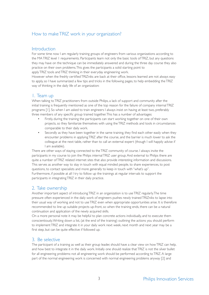## How to make TRIZ work in your organization?

#### **Introduction**

For some time now I am regularly training groups of engineers from various organizations according to the MA TRIZ level 1 requirements. Participants learn not only the basic tools of TRIZ, but any questions they may have on the technique can be immediately answered and during the three day course they also practice on their own problems. This gives the participants a solid starting point to apply TRIZ tools and TRIZ thinking in their everyday engineering work.

However when the freshly certified TRIZniks are back at their office, lessons learned are not always easy to apply, so I have summarized a few tips and tricks in the following pages, to help embedding the TRIZ way of thinking in the daily life of an organization:

## 1. Team up

When talking to TRIZ practitioners from outside Philips, a lack of support and community after the initial training is frequently mentioned as one of the top reason for the failure of company internal TRIZ programs [1]. So when I am asked to train engineers I always insist on having at least two, preferably three members of any specific group trained together. This has a number of advantages:

- Firstly, during the training the participants can start working together on one of their own projects, so they familiarize themselves with using the TRIZ methods and tools in circumstances comparable to their daily work.
- Secondly as they have been together in the same training, they find each other easily when they encounter problems in applying TRIZ after the course, and the barrier is much lower to ask the colleague at the next table, rather than to call an external expert (though I will happily advise if I am available).

There are other ways of staying connected to the TRIZ community of course. I always invite the participants in my course to join the Philips internal TRIZ user group. And external to Philips there are quite a number of TRIZ related internet sites that also provide interesting information and discussions. This serves as another way to stay in touch with equal minded people, to share experiences, to post questions, to contact specialists and more generally to keep in touch with "what's up".

Furthermore, if possible at all I try to follow up the trainings at regular intervals to support the participants in integrating TRIZ in their daily practice.

## 2. Take ownership

Another important aspect of introducing TRIZ in an organization is to use TRIZ regularly. The time pressure often experienced in the daily work of engineers pushes newly trained TRIZniks to lapse into their usual way of working and not to use TRIZ even when appropriate opportunities arise. It is therefore recommended to line up suitable projects up-front, so when the training ends, there can be a natural continuation and application of the newly acquired skills.

On a more personal note it may be helpful to plan concrete actions individually, and to execute them conscientiously. Writing down a list, (at the end of the training) outlining the actions you should perform to implement TRIZ and integrate it in your daily work next week, next month and next year may be a first step, but can be quite effective if followed up.

## 3. Be selective

The participant of a training as well as their group leader, should have a clear view on how TRIZ can help, and how best to integrate it in the daily work. Initially one should realize that TRIZ is not the silver bullet for all engineering problems: not all engineering work should be performed according to TRIZ. A large part of the normal engineering work is concerned with normal engineering problems anyway [2] and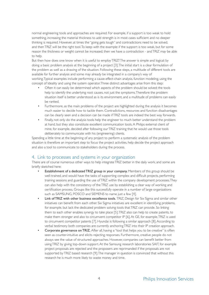normal engineering tools and approaches are required. For example, if a support is too weak to hold something, increasing the material thickness to add strength is in most cases sufficient and no deeper thinking is required. However, at times the "going gets tough" and contradictions need to be solved, and then TRIZ will be the right tool. To keep with the example: if the support is too weak, but for some reason the thickness or weight cannot be increased, then we have a contradiction - and TRIZ may be able to help.

But then how does one know when it is useful to employ TRIZ? The answer is simple and logical: by doing a basic problem analysis at the beginning of a project [3]. The initial start is a clear formulation of the problem as well as a drawing of the situation. Following these steps, a multitude of different tools are available for further analysis and some may already be integrated in a company's way of working. Typical examples include performing a cause-effect-chain analysis, function modeling, using the concept of Ideality and using the system operator. Three distinct advantages arise from this step:

- Often it can easily be determined which aspects of the problem should be solved; the tools help to identify the underlying root causes, not just the symptoms. Therefore the problem situation itself is better understood as is its environment, and a multitude of problems can easily be ranked.
- Furthermore, as the main problems of the project are highlighted during the analysis it becomes much easier to decide how to tackle them. Contradictions, resources and function disadvantages can be clearly seen and a decision can be made if TRIZ tools are indeed the best way forwards.
- Finally, not only do the analysis tools help the engineer to much better understand the problem at hand, but they also constitute excellent communication tools. A Philips external client of mine, for example, decided after following our TRIZ training that he would use those tools deliberately to communicate with his (engineering) clients.

Spending a little time at the beginning of any project to perform a systematic analysis of the problem situation is therefore an important step to focus the project activities, help decide the project approach and also a tool to communicate to stakeholders during the process.

#### 4. Link to processes and systems in your organization

There are of course numerous other ways to help integrate TRIZ better in the daily work, and some are briefly sketched here:

- **Establishment of a dedicated TRIZ group in your company.** Members of this group should be well-trained, and would have the tasks of supporting complex and difficult projects, performing training sessions and guarding the use of TRIZ within the company development processes. They can also help with the consistency of the TRIZ use by establishing a clear way of working and certification process. Groups like this successfully operate in a number of large organizations such as SAMSUNG, POSCO and SIEMENS to name just a few [4].
- **Link of TRIZ with other business excellence tools.** TRIZ, Design for Six Sigma and similar other initiatives can benefit from each other. Six Sigma initiatives are excellent in identifying problems, for example, but lack the dedicated problem solving tools that TRIZ can provide. So linking them to each other enables synergy to take place [5]. TRIZ also can help to create patents, to make them stronger and also to circumvent competitor IP [6]. At GE, for example, TRIZ is used to circumvent competitor patents [7]. Hyundai is following a similar approach [8]. According to verbal testimony both companies are currently anchoring TRIZ into their IP creation approach.
- Corporate governance on TRIZ. After all, having a "tool that helps you to be creative" is often seen as counter-intuitive and elicits rejecting responses. Furthermore, creative people do not always see the value of structured approaches. However, companies can benefit better from using TRIZ by giving top-down support. At the Samsung research laboratories SAIT, for example project proposals are rejected and the proposers are reprimanded if the proposals are not supported by TRIZ based research [9]. The manager in question is convinced that without this research he is much more likely to waste money and time.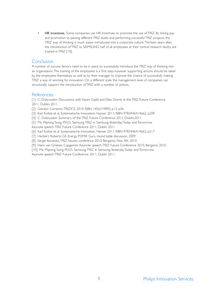• HR incentives. Some companies use HR incentives to promote the use of TRIZ. By linking pay and promotion to passing different TRIZ levels and performing successful TRIZ projects, the TRIZ way of thinking is much easier introduced into a corporate culture. Thirteen years after the introduction of TRIZ to SAMSUNG half of all employees at their central research facility are trained in TRIZ [10].

#### **Conclusion**

A number of success factors need to be in place to successfully introduce the TRIZ way of thinking into an organization. The training of the employees is a first step; however supporting actions should be taken by the employees themselves as well as by their manager to improve the chance of successfully making TRIZ a way of working for innovation. On a different scale the management level of companies can structurally support the introduction of TRIZ with a number of actions.

#### References:

[1] C. Dobrusskin. Discussions with Karen Gadd and Ellen Domb at the TRIZ Future Conference 2011. Dublin; 2011

[2] Gordon Cameron. TRIZICS. 2010. ISBN 1456319892; p13, p36.

[3] Karl Koltze et al. Systematische Innovation. Hanser 2011, ISBN 9783446414662; p209

[4] C. Dobrusskin, Summary of the TRIZ Future Conference 2011, Dublin:2011

[5] Ms. Mijeong Song, PH.D., Samsung. TRIZ in Samsung, Yesterday, Today and Tomorrow.

Keynote speech. TRIZ Future Conference 2011, Dublin 2011

[6] Karl Koltze et al. Systematische Innovation. Hanser 2011, ISBN 9783446414662; p217

[7] Herbert Roberts, GE Energy. PDMA Guru round table discussion, 2009

[8] Sergei Ikovenko, TRIZ futures conference 2010, Bergamo, Nov. 4th, 2010

[9] Hans van Grieken, Capgemini. Keynote speech. TRIZ Future Conference 2010, Bergamo 2010

[10] Ms. Mijeong Song, PH.D., Samsung. TRIZ in Samsung, Yesterday, Today and Tomorrow.

Keynote speech. TRIZ Future Conference 2011, Dublin 2011